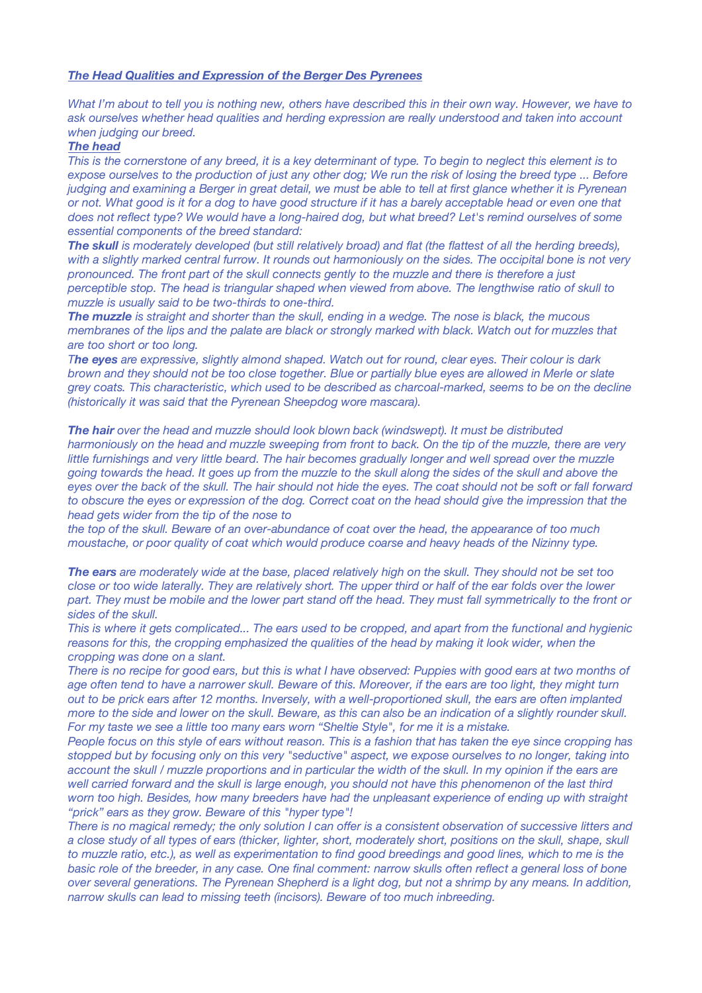## *The Head Qualities and Expression of the Berger Des Pyrenees*

What I'm about to tell you is nothing new, others have described this in their own way. However, we have to *ask ourselves whether head qualities and herding expression are really understood and taken into account when judging our breed.*

## *The head*

This is the cornerstone of any breed, it is a key determinant of type. To begin to neglect this element is to expose ourselves to the production of just any other dog; We run the risk of losing the breed type ... Before judging and examining a Berger in great detail, we must be able to tell at first glance whether it is Pyrenean or not. What good is it for a dog to have good structure if it has a barely acceptable head or even one that does not reflect type? We would have a long-haired dog, but what breed? Let's remind ourselves of some *essential components of the breed standard:*

The skull is moderately developed (but still relatively broad) and flat (the flattest of all the herding breeds), with a slightly marked central furrow. It rounds out harmoniously on the sides. The occipital bone is not very pronounced. The front part of the skull connects gently to the muzzle and there is therefore a just *perceptible stop. The head is triangular shaped when viewed from above. The lengthwise ratio of skull to muzzle is usually said to be two-thirds to one-third.*

The muzzle is straight and shorter than the skull, ending in a wedge. The nose is black, the mucous membranes of the lips and the palate are black or strongly marked with black. Watch out for muzzles that *are too short or too long.*

The eyes are expressive, slightly almond shaped. Watch out for round, clear eyes. Their colour is dark brown and they should not be too close together. Blue or partially blue eyes are allowed in Merle or slate grey coats. This characteristic, which used to be described as charcoal-marked, seems to be on the decline *(historically it was said that the Pyrenean Sheepdog wore mascara).*

*The hair over the head and muzzle should look blown back (windswept). It must be distributed* harmoniously on the head and muzzle sweeping from front to back. On the tip of the muzzle, there are very little furnishings and very little beard. The hair becomes gradually longer and well spread over the muzzle going towards the head. It goes up from the muzzle to the skull along the sides of the skull and above the eves over the back of the skull. The hair should not hide the eves. The coat should not be soft or fall forward to obscure the eyes or expression of the dog. Correct coat on the head should give the impression that the *head gets wider from the tip of the nose to*

the top of the skull. Beware of an over-abundance of coat over the head, the appearance of too much *moustache, or poor quality of coat which would produce coarse and heavy heads of the Nizinny type.*

The ears are moderately wide at the base, placed relatively high on the skull. They should not be set too close or too wide laterally. They are relatively short. The upper third or half of the ear folds over the lower part. They must be mobile and the lower part stand off the head. They must fall symmetrically to the front or *sides of the skull.*

This is where it gets complicated... The ears used to be cropped, and apart from the functional and hygienic reasons for this, the cropping emphasized the qualities of the head by making it look wider, when the *cropping was done on a slant.*

There is no recipe for good ears, but this is what I have observed: Puppies with good ears at two months of age often tend to have a narrower skull. Beware of this. Moreover, if the ears are too light, they might turn out to be prick ears after 12 months. Inversely, with a well-proportioned skull, the ears are often implanted more to the side and lower on the skull. Beware, as this can also be an indication of a slightly rounder skull. *For my taste we see a little too many ears worn "Sheltie Style", for me it is a mistake.*

People focus on this style of ears without reason. This is a fashion that has taken the eye since cropping has stopped but by focusing only on this very "seductive" aspect, we expose ourselves to no longer, taking into account the skull / muzzle proportions and in particular the width of the skull. In my opinion if the ears are well carried forward and the skull is large enough, you should not have this phenomenon of the last third *worn too high. Besides, how many breeders have had the unpleasant experience of ending up with straight "prick" ears as they grow. Beware of this "hyper type"!*

There is no magical remedy; the only solution I can offer is a consistent observation of successive litters and a close study of all types of ears (thicker, lighter, short, moderately short, positions on the skull, shape, skull to muzzle ratio, etc.), as well as experimentation to find good breedings and good lines, which to me is the basic role of the breeder, in any case. One final comment: narrow skulls often reflect a general loss of bone over several generations. The Pyrenean Shepherd is a light dog, but not a shrimp by any means. In addition, *narrow skulls can lead to missing teeth (incisors). Beware of too much inbreeding.*